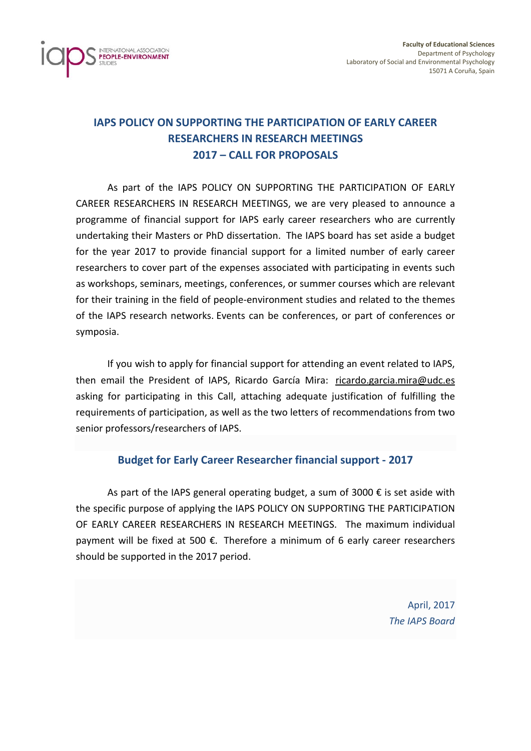

## **IAPS POLICY ON SUPPORTING THE PARTICIPATION OF EARLY CAREER RESEARCHERS IN RESEARCH MEETINGS 2017 – CALL FOR PROPOSALS**

As part of the IAPS POLICY ON SUPPORTING THE PARTICIPATION OF EARLY CAREER RESEARCHERS IN RESEARCH MEETINGS, we are very pleased to announce a programme of financial support for IAPS early career researchers who are currently undertaking their Masters or PhD dissertation. The IAPS board has set aside a budget for the year 2017 to provide financial support for a limited number of early career researchers to cover part of the expenses associated with participating in events such as workshops, seminars, meetings, conferences, or summer courses which are relevant for their training in the field of people-environment studies and related to the themes of the IAPS research networks. Events can be conferences, or part of conferences or symposia.

If you wish to apply for financial support for attending an event related to IAPS, then email the President of IAPS, Ricardo García Mira: [ricardo.garcia.mira@udc.es](mailto:ricardo.garcia.mira@udc.es)  asking for participating in this Call, attaching adequate justification of fulfilling the requirements of participation, as well as the two letters of recommendations from two senior professors/researchers of IAPS.

## **Budget for Early Career Researcher financial support - 2017**

As part of the IAPS general operating budget, a sum of 3000  $\epsilon$  is set aside with the specific purpose of applying the IAPS POLICY ON SUPPORTING THE PARTICIPATION OF EARLY CAREER RESEARCHERS IN RESEARCH MEETINGS. The maximum individual payment will be fixed at 500  $\epsilon$ . Therefore a minimum of 6 early career researchers should be supported in the 2017 period.

> April, 2017 *The IAPS Board*